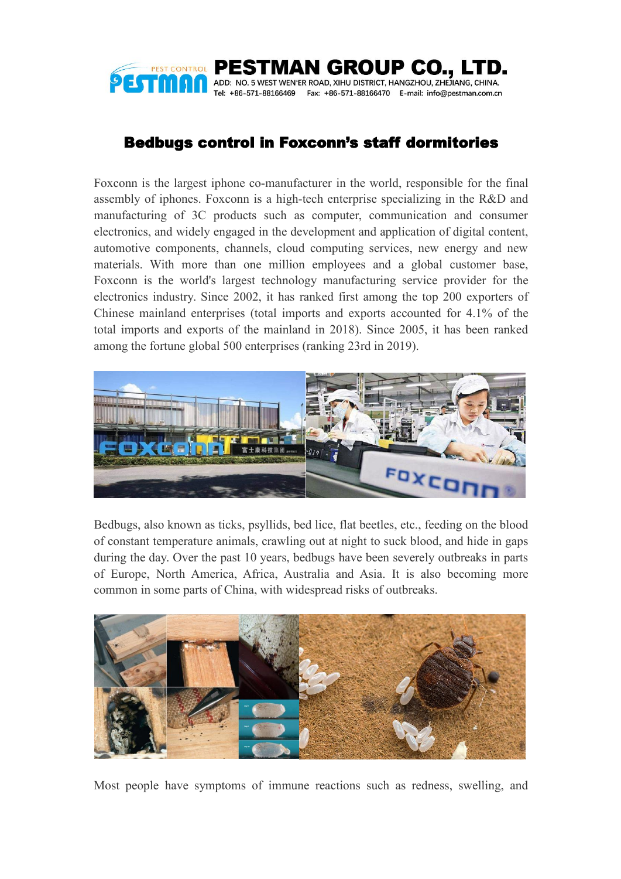

## Bedbugs control in Foxconn's staff dormitories

Foxconn is the largest iphone co-manufacturer in the world, responsible for the final assembly of iphones. Foxconn is a high-tech enterprise specializing in the R&D and manufacturing of 3C products such as computer, communication and consumer electronics, and widely engaged in the development and application of digital content, automotive components, channels, cloud computing services, new energy and new materials. With more than one million employees and a global customer base, Foxconn is the world's largest technology manufacturing service provider for the electronics industry. Since 2002, it has ranked first among the top 200 exporters of Chinese mainland enterprises (total imports and exports accounted for 4.1% of the total imports and exports of the mainland in 2018). Since 2005, it has been ranked among the fortune global 500 enterprises (ranking 23rd in 2019).



Bedbugs, also known as ticks, psyllids, bed lice, flat beetles, etc., feeding on the blood of constant temperature animals, crawling out at night to suck blood, and hide in gaps during the day. Over the past 10 years, bedbugs have been severely outbreaks in parts of Europe, North America, Africa, Australia and Asia. It is also becoming more common in some parts of China, with widespread risks of outbreaks.



Most people have symptoms of immune reactions such as redness, swelling, and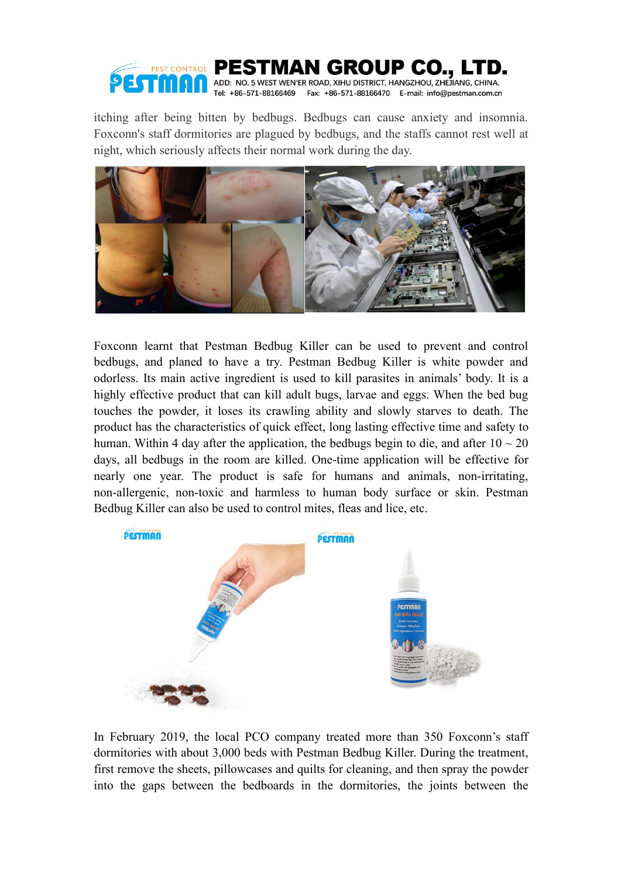

itching after being bitten by bedbugs. Bedbugs can cause anxiety and insomnia. Foxconn's staff dormitories are plagued by bedbugs, and the staffs cannot rest well at night, which seriously affects their normal work during the day.



Foxconn learnt that Pestman Bedbug Killer can be used to prevent and control bedbugs, and planed to have a try. Pestman Bedbug Killer is white powder and odorless. Its main active ingredient is used to kill parasites in animals' body. It is a highly effective product that can kill adult bugs, larvae and eggs. When the bed bug touches the powder, it loses its crawling ability and slowly starves to death. The product has the characteristics of quick effect, long lasting effective time and safety to human. Within 4 day after the application, the bedbugs begin to die, and after  $10 \sim 20$ days, all bedbugs in the room are killed. One-time application will be effective for nearly one year. The product is safe for humans and animals, non-irritating, non-allergenic, non-toxic and harmless to human body surface or skin. Pestman Bedbug Killer can also be used to control mites, fleas and lice, etc.



In February 2019, the local PCO company treated more than 350 Foxconn's staff dormitories with about 3,000 bedswith Pestman Bedbug Killer. During the treatment, first remove the sheets, pillowcases and quilts for cleaning, and then spray the powder into the gaps between the bedboards in the dormitories, the joints between the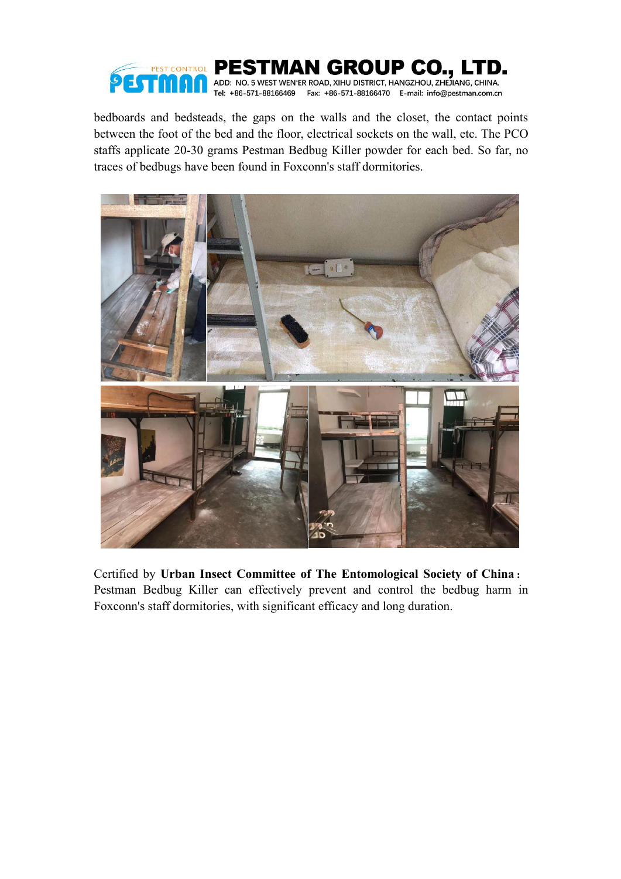

bedboards and bedsteads, the gaps on the walls and the closet, the contact points between the foot of the bed and the floor, electrical sockets on the wall, etc. The PCO staffs applicate 20-30 grams Pestman Bedbug Killer powder for each bed. So far, no traces of bedbugs have been found in Foxconn's staff dormitories.



Certified by **Urban Insect Committee of The Entomological Society of China**: Pestman Bedbug Killer can effectively prevent and control the bedbug harm in Foxconn's staff dormitories, with significant efficacy and long duration.